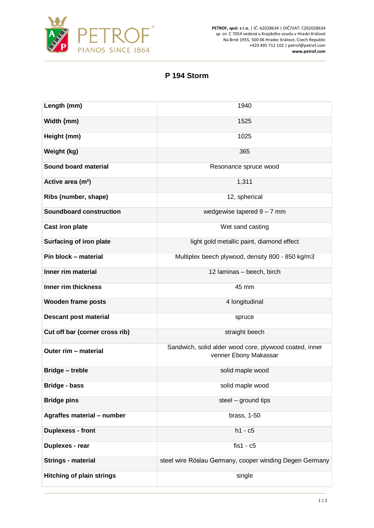

**PETROF, spol. s r.o.** | IČ: 62028634 | DIČ/VAT: CZ62028634 sp. zn. C 7054 vedená u Krajského soudu v Hradci Králové Na Brně 1955, 500 06 Hradec Králové, Czech Republic +420 495 712 102 | petrof@petrof.com **www.petrof.com**

## **P 194 Storm**

| Length (mm)                      | 1940                                                                            |
|----------------------------------|---------------------------------------------------------------------------------|
| Width (mm)                       | 1525                                                                            |
| Height (mm)                      | 1025                                                                            |
| Weight (kg)                      | 365                                                                             |
| Sound board material             | Resonance spruce wood                                                           |
| Active area (m <sup>2</sup> )    | 1,311                                                                           |
| Ribs (number, shape)             | 12, spherical                                                                   |
| <b>Soundboard construction</b>   | wedgewise tapered $9 - 7$ mm                                                    |
| <b>Cast iron plate</b>           | Wet sand casting                                                                |
| <b>Surfacing of iron plate</b>   | light gold metallic paint, diamond effect                                       |
| Pin block - material             | Multiplex beech plywood, density 800 - 850 kg/m3                                |
| Inner rim material               | 12 laminas - beech, birch                                                       |
| Inner rim thickness              | 45 mm                                                                           |
| <b>Wooden frame posts</b>        | 4 longitudinal                                                                  |
| <b>Descant post material</b>     | spruce                                                                          |
| Cut off bar (corner cross rib)   | straight beech                                                                  |
| Outer rim - material             | Sandwich, solid alder wood core, plywood coated, inner<br>venner Ebony Makassar |
| <b>Bridge - treble</b>           | solid maple wood                                                                |
| Bridge - bass                    | solid maple wood                                                                |
| <b>Bridge pins</b>               | steel - ground tips                                                             |
| Agraffes material - number       | brass, 1-50                                                                     |
| <b>Duplexess - front</b>         | $h1 - c5$                                                                       |
| Duplexes - rear                  | $f$ is1 - $c5$                                                                  |
| <b>Strings - material</b>        | steel wire Röslau Germany, cooper winding Degen Germany                         |
| <b>Hitching of plain strings</b> | single                                                                          |